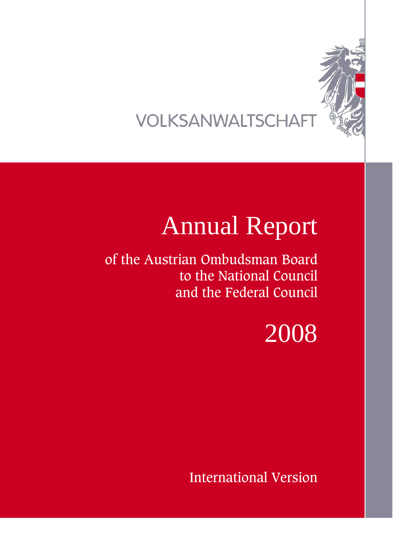

## VOLKSANWALTSCHAFT

# Annual Report

of the Austrian Ombudsman Board to the National Council and the Federal Council

# 2008

International Version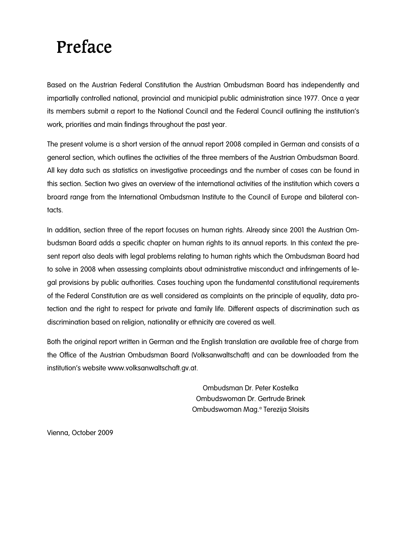## Preface

Based on the Austrian Federal Constitution the Austrian Ombudsman Board has independently and impartially controlled national, provincial and municipial public administration since 1977. Once a year its members submit a report to the National Council and the Federal Council outlining the institution's work, priorities and main findings throughout the past year.

The present volume is a short version of the annual report 2008 compiled in German and consists of a general section, which outlines the activities of the three members of the Austrian Ombudsman Board. All key data such as statistics on investigative proceedings and the number of cases can be found in this section. Section two gives an overview of the international activities of the institution which covers a broard range from the International Ombudsman Institute to the Council of Europe and bilateral contacts.

In addition, section three of the report focuses on human rights. Already since 2001 the Austrian Ombudsman Board adds a specific chapter on human rights to its annual reports. In this context the present report also deals with legal problems relating to human rights which the Ombudsman Board had to solve in 2008 when assessing complaints about administrative misconduct and infringements of legal provisions by public authorities. Cases touching upon the fundamental constitutional requirements of the Federal Constitution are as well considered as complaints on the principle of equality, data protection and the right to respect for private and family life. Different aspects of discrimination such as discrimination based on religion, nationality or ethnicity are covered as well.

Both the original report written in German and the English translation are available free of charge from the Office of the Austrian Ombudsman Board (Volksanwaltschaft) and can be downloaded from the institution's website www.volksanwaltschaft.gv.at.

> Ombudsman Dr. Peter Kostelka Ombudswoman Dr. Gertrude Brinek Ombudswoman Mag.<sup>a</sup> Terezija Stoisits

Vienna, October 2009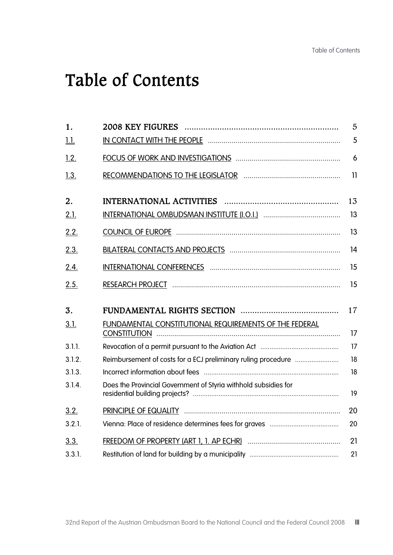## Table of Contents

| 1.          |                                                                 | 5  |
|-------------|-----------------------------------------------------------------|----|
| <u>1.1.</u> |                                                                 | 5  |
| 1.2.        |                                                                 | 6  |
| 1.3.        |                                                                 | 11 |
| 2.          |                                                                 | 13 |
| 2.1.        |                                                                 | 13 |
| 2.2.        |                                                                 | 13 |
| 2.3.        |                                                                 | 14 |
| 2.4.        |                                                                 | 15 |
| 2.5.        |                                                                 | 15 |
|             |                                                                 |    |
| 3.          |                                                                 | 17 |
| 3.1.        | FUNDAMENTAL CONSTITUTIONAL REQUIREMENTS OF THE FEDERAL          | 17 |
| 3.1.1.      |                                                                 | 17 |
| 3.1.2.      |                                                                 | 18 |
| 3.1.3.      |                                                                 | 18 |
| 3.1.4.      | Does the Provincial Government of Styria withhold subsidies for | 19 |
| 3.2.        |                                                                 | 20 |
| 3.2.1.      |                                                                 | 20 |
| 3.3.        |                                                                 | 21 |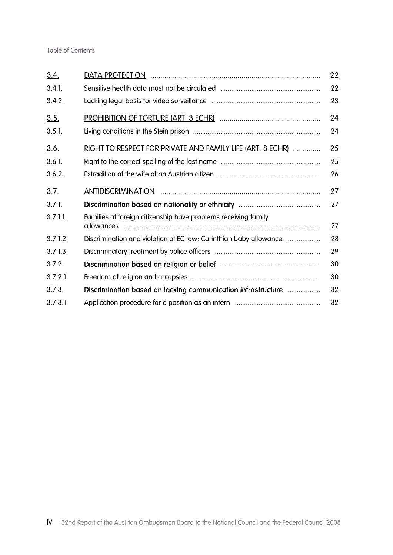| 3.4.        |                                                                   | 22 |
|-------------|-------------------------------------------------------------------|----|
| 3.4.1.      |                                                                   | 22 |
| 3.4.2.      |                                                                   | 23 |
| 3.5.        |                                                                   | 24 |
| 3.5.1.      |                                                                   | 24 |
| <u>3.6.</u> | RIGHT TO RESPECT FOR PRIVATE AND FAMILY LIFE (ART. 8 ECHR)        | 25 |
| $3.6.1$ .   |                                                                   | 25 |
| 3.6.2.      |                                                                   | 26 |
| <u>3.7.</u> |                                                                   | 27 |
| 3.7.1.      |                                                                   | 27 |
| $3.7.1.1$ . | Families of foreign citizenship have problems receiving family    | 27 |
| 3.7.1.2.    | Discrimination and violation of EC law: Carinthian baby allowance | 28 |
| 3.7.1.3.    |                                                                   | 29 |
| 3.7.2.      |                                                                   | 30 |
| $3.7.2.1$ . |                                                                   | 30 |
| 3.7.3.      | Discrimination based on lacking communication infrastructure      | 32 |
| 3.7.3.1     |                                                                   | 32 |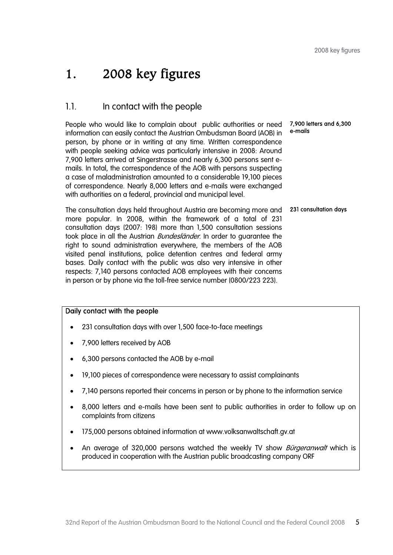## 1. 2008 key figures

### 1.1. In contact with the people

People who would like to complain about public authorities or need information can easily contact the Austrian Ombudsman Board (AOB) in person, by phone or in writing at any time. Written correspondence with people seeking advice was particularly intensive in 2008: Around 7,900 letters arrived at Singerstrasse and nearly 6,300 persons sent emails. In total, the correspondence of the AOB with persons suspecting a case of maladministration amounted to a considerable 19,100 pieces of correspondence. Nearly 8,000 letters and e-mails were exchanged with authorities on a federal, provincial and municipal level. 7,900 letters and 6,300 e-mails

The consultation days held throughout Austria are becoming more and more popular. In 2008, within the framework of a total of 231 consultation days (2007: 198) more than 1,500 consultation sessions took place in all the Austrian *Bundesländer*. In order to guarantee the right to sound administration everywhere, the members of the AOB visited penal institutions, police detention centres and federal army bases. Daily contact with the public was also very intensive in other respects: 7,140 persons contacted AOB employees with their concerns in person or by phone via the toll-free service number (0800/223 223). 231 consultation days

#### Daily contact with the people

- 231 consultation days with over 1,500 face-to-face meetings
- 7,900 letters received by AOB
- 6,300 persons contacted the AOB by e-mail
- 19,100 pieces of correspondence were necessary to assist complainants
- 7,140 persons reported their concerns in person or by phone to the information service
- 8,000 letters and e-mails have been sent to public authorities in order to follow up on complaints from citizens
- 175,000 persons obtained information at www.volksanwaltschaft.gv.at
- An average of 320,000 persons watched the weekly TV show *Bürgeranwalt* which is produced in cooperation with the Austrian public broadcasting company ORF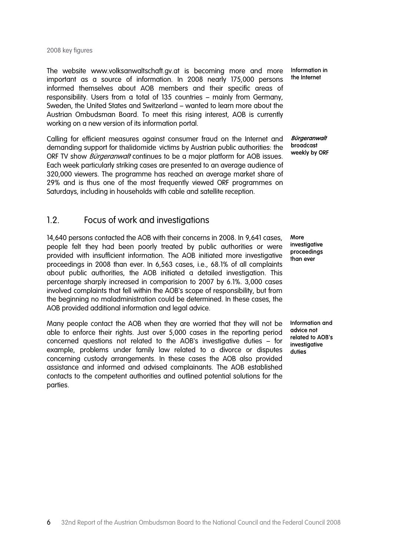#### 2008 key figures

The website www.volksanwaltschaft.gv.at is becoming more and more important as a source of information. In 2008 nearly 175,000 persons informed themselves about AOB members and their specific areas of responsibility. Users from a total of 135 countries – mainly from Germany, Sweden, the United States and Switzerland – wanted to learn more about the Austrian Ombudsman Board. To meet this rising interest, AOB is currently working on a new version of its information portal.

Calling for efficient measures against consumer fraud on the Internet and demanding support for thalidomide victims by Austrian public authorities: the ORF TV show *Bürgeranwalt* continues to be a major platform for AOB issues. Each week particularly striking cases are presented to an average audience of 320,000 viewers. The programme has reached an average market share of 29% and is thus one of the most frequently viewed ORF programmes on Saturdays, including in households with cable and satellite reception.

#### 1.2. Focus of work and investigations

14,640 persons contacted the AOB with their concerns in 2008. In 9,641 cases, people felt they had been poorly treated by public authorities or were provided with insufficient information. The AOB initiated more investigative proceedings in 2008 than ever. In 6,563 cases, i.e., 68.1% of all complaints about public authorities, the AOB initiated a detailed investigation. This percentage sharply increased in comparision to 2007 by 6.1%. 3,000 cases involved complaints that fell within the AOB's scope of responsibility, but from the beginning no maladministration could be determined. In these cases, the AOB provided additional information and legal advice.

Many people contact the AOB when they are worried that they will not be able to enforce their rights. Just over 5,000 cases in the reporting period concerned questions not related to the AOB's investigative duties – for example, problems under family law related to a divorce or disputes concerning custody arrangements. In these cases the AOB also provided assistance and informed and advised complainants. The AOB established contacts to the competent authorities and outlined potential solutions for the parties.

Information in the Internet

**Bürgeranwalt** broadcast weekly by ORF

**More** investigative proceedings than ever

Information and advice not related to AOB's investigative duties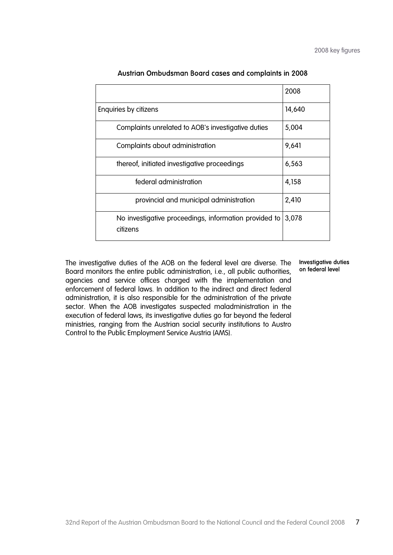|                                                                   | 2008   |
|-------------------------------------------------------------------|--------|
| Enquiries by citizens                                             | 14,640 |
| Complaints unrelated to AOB's investigative duties                | 5,004  |
| Complaints about administration                                   | 9,641  |
| thereof, initiated investigative proceedings                      | 6,563  |
| federal administration                                            | 4,158  |
| provincial and municipal administration                           | 2,410  |
| No investigative proceedings, information provided to<br>citizens | 3,078  |

#### Austrian Ombudsman Board cases and complaints in 2008

The investigative duties of the AOB on the federal level are diverse. The Board monitors the entire public administration, i.e., all public authorities, agencies and service offices charged with the implementation and enforcement of federal laws. In addition to the indirect and direct federal administration, it is also responsible for the administration of the private sector. When the AOB investigates suspected maladministration in the execution of federal laws, its investigative duties go far beyond the federal ministries, ranging from the Austrian social security institutions to Austro Control to the Public Employment Service Austria (AMS).

#### Investigative duties on federal level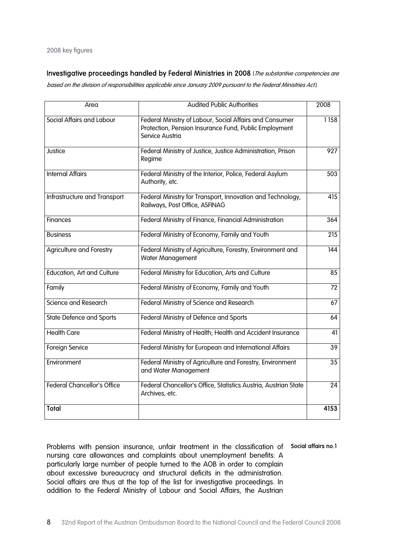Investigative proceedings handled by Federal Ministries in 2008 (The substantive competencies are

based on the division of responsibilities applicable since January 2009 pursuant to the Federal Ministries Act.)

| Area                               | <b>Audited Public Authorities</b>                                                                                                   | 2008            |
|------------------------------------|-------------------------------------------------------------------------------------------------------------------------------------|-----------------|
| Social Affairs and Labour          | Federal Ministry of Labour, Social Affairs and Consumer<br>Protection, Pension Insurance Fund, Public Employment<br>Service Austria | 1158            |
| Justice                            | Federal Ministry of Justice, Justice Administration, Prison<br>Regime                                                               | 927             |
| <b>Internal Affairs</b>            | Federal Ministry of the Interior, Police, Federal Asylum<br>Authority, etc.                                                         | 503             |
| Infrastructure and Transport       | Federal Ministry for Transport, Innovation and Technology,<br>Railways, Post Office, ASFINAG                                        | 415             |
| <b>Finances</b>                    | Federal Ministry of Finance, Financial Administration                                                                               | 364             |
| <b>Business</b>                    | Federal Ministry of Economy, Family and Youth                                                                                       | 215             |
| <b>Agriculture and Forestry</b>    | Federal Ministry of Agriculture, Forestry, Environment and<br>Water Management                                                      | 144             |
| <b>Education, Art and Culture</b>  | Federal Ministry for Education, Arts and Culture                                                                                    | 85              |
| Family                             | Federal Ministry of Economy, Family and Youth                                                                                       | 72              |
| Science and Research               | Federal Ministry of Science and Research                                                                                            | 67              |
| <b>State Defence and Sports</b>    | Federal Ministry of Defence and Sports                                                                                              | 64              |
| <b>Health Care</b>                 | Federal Ministry of Health; Health and Accident Insurance                                                                           | 41              |
| Foreign Service                    | Federal Ministry for European and International Affairs                                                                             | 39              |
| Environment                        | Federal Ministry of Agriculture and Forestry, Environment<br>and Water Management                                                   | $\overline{35}$ |
| <b>Federal Chancellor's Office</b> | Federal Chancellor's Office, Statistics Austria, Austrian State<br>Archives, etc.                                                   | 24              |
| <b>Total</b>                       |                                                                                                                                     | 4153            |

Problems with pension insurance, unfair treatment in the classification of Social affairs no.1 nursing care allowances and complaints about unemployment benefits: A particularly large number of people turned to the AOB in order to complain about excessive bureaucracy and structural deficits in the administration. Social affairs are thus at the top of the list for investigative proceedings. In addition to the Federal Ministry of Labour and Social Affairs, the Austrian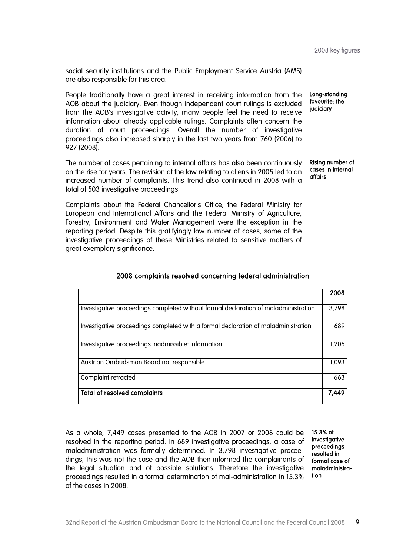social security institutions and the Public Employment Service Austria (AMS) are also responsible for this area.

People traditionally have a great interest in receiving information from the AOB about the judiciary. Even though independent court rulings is excluded from the AOB's investigative activity, many people feel the need to receive information about already applicable rulings. Complaints often concern the duration of court proceedings. Overall the number of investigative proceedings also increased sharply in the last two years from 760 (2006) to 927 (2008). Long-standing favourite: the judiciary

The number of cases pertaining to internal affairs has also been continuously on the rise for years. The revision of the law relating to aliens in 2005 led to an increased number of complaints. This trend also continued in 2008 with a total of 503 investigative proceedings. Rising number of cases in internal affairs

Complaints about the Federal Chancellor's Office, the Federal Ministry for European and International Affairs and the Federal Ministry of Agriculture, Forestry, Environment and Water Management were the exception in the reporting period. Despite this gratifyingly low number of cases, some of the investigative proceedings of these Ministries related to sensitive matters of great exemplary significance.

|                                                                                     | 2008  |
|-------------------------------------------------------------------------------------|-------|
| Investigative proceedings completed without formal declaration of maladministration |       |
| Investigative proceedings completed with a formal declaration of maladministration  | 689   |
| Investigative proceedings inadmissible: Information                                 | 1,206 |
| Austrian Ombudsman Board not responsible                                            | 1,093 |
| Complaint retracted                                                                 | 663   |
| <b>Total of resolved complaints</b>                                                 | 7,449 |

#### 2008 complaints resolved concerning federal administration

As a whole, 7,449 cases presented to the AOB in 2007 or 2008 could be resolved in the reporting period. In 689 investigative proceedings, a case of maladministration was formally determined. In 3,798 investigative proceedings, this was not the case and the AOB then informed the complainants of the legal situation and of possible solutions. Therefore the investigative proceedings resulted in a formal determination of mal-administration in 15.3% of the cases in 2008.

15.3% of investigative proceedings resulted in formal case of maladministration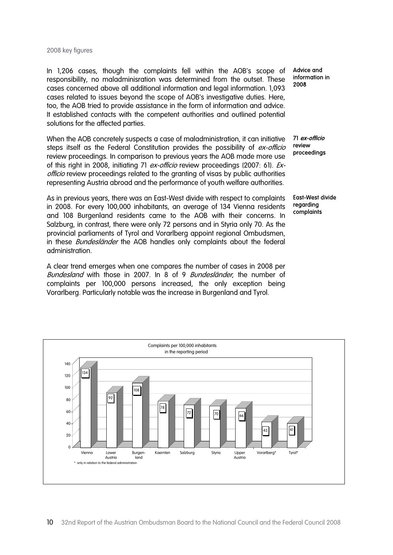#### 2008 key figures

In 1,206 cases, though the complaints fell within the AOB's scope of responsibility, no maladminisration was determined from the outset. These cases concerned above all additional information and legal information. 1,093 cases related to issues beyond the scope of AOB's investigative duties. Here, too, the AOB tried to provide assistance in the form of information and advice. It established contacts with the competent authorities and outlined potential solutions for the affected parties.

When the AOB concretely suspects a case of maladministration, it can initiative steps itself as the Federal Constitution provides the possibility of *ex-officio* review proceedings. In comparison to previous years the AOB made more use of this right in 2008, initiating 71 ex-officio review proceedings (2007: 61). Exofficio review proceedings related to the granting of visas by public authorities representing Austria abroad and the performance of youth welfare authorities.

As in previous years, there was an East-West divide with respect to complaints in 2008. For every 100,000 inhabitants, an average of 134 Vienna residents and 108 Burgenland residents came to the AOB with their concerns. In Salzburg, in contrast, there were only 72 persons and in Styria only 70. As the provincial parliaments of Tyrol and Vorarlberg appoint regional Ombudsmen, in these *Bundesländer* the AOB handles only complaints about the federal administration.

A clear trend emerges when one compares the number of cases in 2008 per Bundesland with those in 2007. In 8 of 9 Bundesländer, the number of complaints per 100,000 persons increased, the only exception being Vorarlberg. Particularly notable was the increase in Burgenland and Tyrol.

Advice and information in 2008

71 ex-officio review proceedings

East-West divide regarding complaints

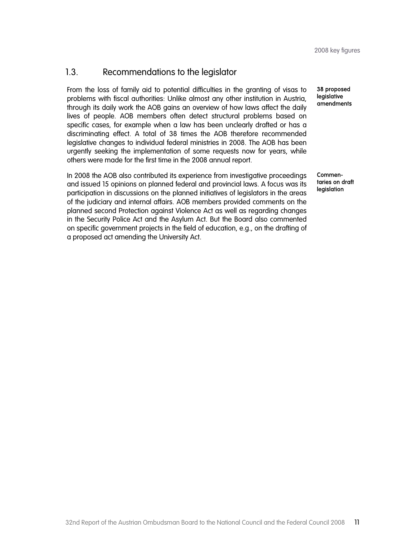### 1.3. Recommendations to the legislator

From the loss of family aid to potential difficulties in the granting of visas to problems with fiscal authorities: Unlike almost any other institution in Austria, through its daily work the AOB gains an overview of how laws affect the daily lives of people. AOB members often detect structural problems based on specific cases, for example when a law has been unclearly drafted or has a discriminating effect. A total of 38 times the AOB therefore recommended legislative changes to individual federal ministries in 2008. The AOB has been urgently seeking the implementation of some requests now for years, while others were made for the first time in the 2008 annual report.

In 2008 the AOB also contributed its experience from investigative proceedings and issued 15 opinions on planned federal and provincial laws. A focus was its participation in discussions on the planned initiatives of legislators in the areas of the judiciary and internal affairs. AOB members provided comments on the planned second Protection against Violence Act as well as regarding changes in the Security Police Act and the Asylum Act. But the Board also commented on specific government projects in the field of education, e.g., on the drafting of a proposed act amending the University Act.

38 proposed **legislative** amendments

Commentaries on draft **legislation**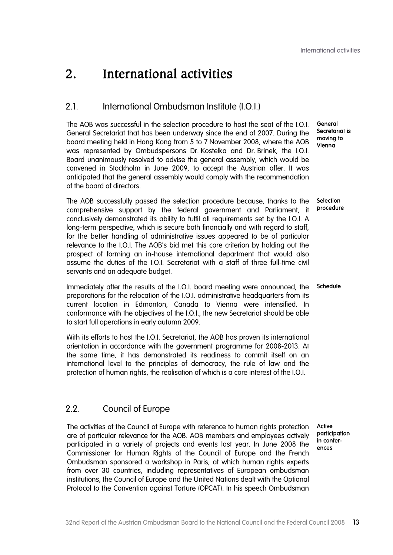General Secretariat is moving to Vienna

## 2. International activities

#### 2.1. International Ombudsman Institute (I.O.I.)

The AOB was successful in the selection procedure to host the seat of the I.O.I. General Secretariat that has been underway since the end of 2007. During the board meeting held in Hong Kong from 5 to 7 November 2008, where the AOB was represented by Ombudspersons Dr. Kostelka and Dr. Brinek, the I.O.I. Board unanimously resolved to advise the general assembly, which would be convened in Stockholm in June 2009, to accept the Austrian offer. It was anticipated that the general assembly would comply with the recommendation of the board of directors.

The AOB successfully passed the selection procedure because, thanks to the comprehensive support by the federal government and Parliament, it conclusively demonstrated its ability to fulfil all requirements set by the I.O.I. A long-term perspective, which is secure both financially and with regard to staff, for the better handling of administrative issues appeared to be of particular relevance to the I.O.I. The AOB's bid met this core criterion by holding out the prospect of forming an in-house international department that would also assume the duties of the I.O.I. Secretariat with a staff of three full-time civil servants and an adequate budget. **Selection** procedure

Immediately after the results of the I.O.I. board meeting were announced, the preparations for the relocation of the I.O.I. administrative headquarters from its current location in Edmonton, Canada to Vienna were intensified. In conformance with the objectives of the I.O.I., the new Secretariat should be able to start full operations in early autumn 2009. Schedule

With its efforts to host the I.O.I. Secretariat, the AOB has proven its international orientation in accordance with the government programme for 2008-2013. At the same time, it has demonstrated its readiness to commit itself on an international level to the principles of democracy, the rule of law and the protection of human rights, the realisation of which is a core interest of the I.O.I.

#### 2.2. Council of Europe

The activities of the Council of Europe with reference to human rights protection are of particular relevance for the AOB. AOB members and employees actively participated in a variety of projects and events last year. In June 2008 the Commissioner for Human Rights of the Council of Europe and the French Ombudsman sponsored a workshop in Paris, at which human rights experts from over 30 countries, including representatives of European ombudsman institutions, the Council of Europe and the United Nations dealt with the Optional Protocol to the Convention against Torture (OPCAT). In his speech Ombudsman

Active participation in conferences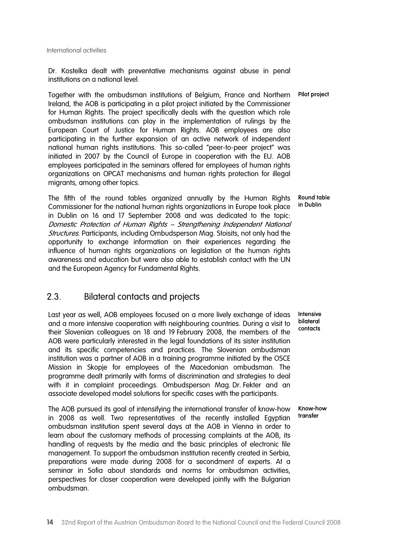Dr. Kostelka dealt with preventative mechanisms against abuse in penal institutions on a national level.

Together with the ombudsman institutions of Belgium, France and Northern Ireland, the AOB is participating in a pilot project initiated by the Commissioner for Human Rights. The project specifically deals with the question which role ombudsman institutions can play in the implementation of rulings by the European Court of Justice for Human Rights. AOB employees are also participating in the further expansion of an active network of independent national human rights institutions. This so-called "peer-to-peer project" was initiated in 2007 by the Council of Europe in cooperation with the EU. AOB employees participated in the seminars offered for employees of human rights organizations on OPCAT mechanisms and human rights protection for illegal migrants, among other topics.

The fifth of the round tables organized annually by the Human Rights Commissioner for the national human rights organizations in Europe took place in Dublin on 16 and 17 September 2008 and was dedicated to the topic: Domestic Protection of Human Rights – Strengthening Independent National **Structures.** Participants, including Ombudsperson Mag. Stoisits, not only had the opportunity to exchange information on their experiences regarding the influence of human rights organizations on legislation ot the human rights awareness and education but were also able to establish contact with the UN and the European Agency for Fundamental Rights.

#### 2.3. Bilateral contacts and projects

Last year as well, AOB employees focused on a more lively exchange of ideas and a more intensive cooperation with neighbouring countries. During a visit to their Slovenian colleagues on 18 and 19 February 2008, the members of the AOB were particularly interested in the legal foundations of its sister institution and its specific competencies and practices. The Slovenian ombudsman institution was a partner of AOB in a training programme initiated by the OSCE Mission in Skopje for employees of the Macedonian ombudsman. The programme dealt primarily with forms of discrimination and strategies to deal with it in complaint proceedings. Ombudsperson Mag. Dr. Fekter and an associate developed model solutions for specific cases with the participants.

The AOB pursued its goal of intensifying the international transfer of know-how in 2008 as well. Two representatives of the recently installed Egyptian ombudsman institution spent several days at the AOB in Vienna in order to learn about the customary methods of processing complaints at the AOB, its handling of requests by the media and the basic principles of electronic file management. To support the ombudsman institution recently created in Serbia, preparations were made during 2008 for a secondment of experts. At a seminar in Sofia about standards and norms for ombudsman activities, perspectives for closer cooperation were developed jointly with the Bulgarian ombudsman.

Pilot project

Round table in Dublin

Intensive bilateral contacts

Know-how transfer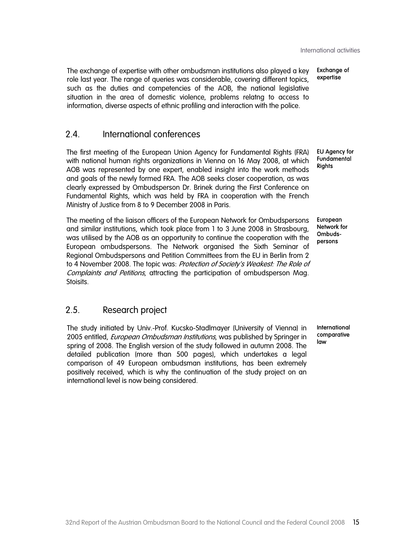The exchange of expertise with other ombudsman institutions also played a key role last year. The range of queries was considerable, covering different topics, such as the duties and competencies of the AOB, the national legislative situation in the area of domestic violence, problems relatng to access to information, diverse aspects of ethnic profiling and interaction with the police. Exchange of expertise

#### 2.4. International conferences

The first meeting of the European Union Agency for Fundamental Rights (FRA) with national human rights organizations in Vienna on 16 May 2008, at which AOB was represented by one expert, enabled insight into the work methods and goals of the newly formed FRA. The AOB seeks closer cooperation, as was clearly expressed by Ombudsperson Dr. Brinek during the First Conference on Fundamental Rights, which was held by FRA in cooperation with the French Ministry of Justice from 8 to 9 December 2008 in Paris.

The meeting of the liaison officers of the European Network for Ombudspersons and similar institutions, which took place from 1 to 3 June 2008 in Strasbourg, was utilised by the AOB as an opportunity to continue the cooperation with the European ombudspersons. The Network organised the Sixth Seminar of Regional Ombudspersons and Petition Committees from the EU in Berlin from 2 to 4 November 2008. The topic was: Protection of Society's Weakest: The Role of Complaints and Petitions, attracting the participation of ombudsperson Mag. Stoisits.

## European Network for

EU Agency for **Fundamental Rights** 

Ombudspersons

#### 2.5. Research project

The study initiated by Univ.-Prof. Kucsko-Stadlmayer (University of Vienna) in 2005 entitled, European Ombudsman Institutions, was published by Springer in spring of 2008. The English version of the study followed in autumn 2008. The detailed publication (more than 500 pages), which undertakes a legal comparison of 49 European ombudsman institutions, has been extremely positively received, which is why the continuation of the study project on an international level is now being considered.

International comparative law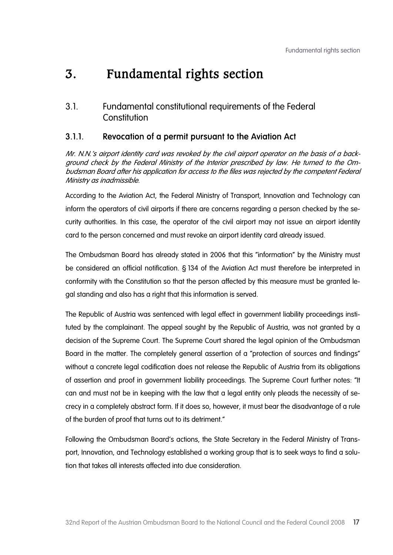3.1. Fundamental constitutional requirements of the Federal **Constitution** 

### 3.1.1. Revocation of a permit pursuant to the Aviation Act

Mr. N.N.'s airport identity card was revoked by the civil airport operator on the basis of a background check by the Federal Ministry of the Interior prescribed by law. He turned to the Ombudsman Board after his application for access to the files was rejected by the competent Federal Ministry as inadmissible.

According to the Aviation Act, the Federal Ministry of Transport, Innovation and Technology can inform the operators of civil airports if there are concerns regarding a person checked by the security authorities. In this case, the operator of the civil airport may not issue an airport identity card to the person concerned and must revoke an airport identity card already issued.

The Ombudsman Board has already stated in 2006 that this "information" by the Ministry must be considered an official notification. § 134 of the Aviation Act must therefore be interpreted in conformity with the Constitution so that the person affected by this measure must be granted legal standing and also has a right that this information is served.

The Republic of Austria was sentenced with legal effect in government liability proceedings instituted by the complainant. The appeal sought by the Republic of Austria, was not granted by a decision of the Supreme Court. The Supreme Court shared the legal opinion of the Ombudsman Board in the matter. The completely general assertion of a "protection of sources and findings" without a concrete legal codification does not release the Republic of Austria from its obligations of assertion and proof in government liability proceedings. The Supreme Court further notes: "It can and must not be in keeping with the law that a legal entity only pleads the necessity of secrecy in a completely abstract form. If it does so, however, it must bear the disadvantage of a rule of the burden of proof that turns out to its detriment."

Following the Ombudsman Board's actions, the State Secretary in the Federal Ministry of Transport, Innovation, and Technology established a working group that is to seek ways to find a solution that takes all interests affected into due consideration.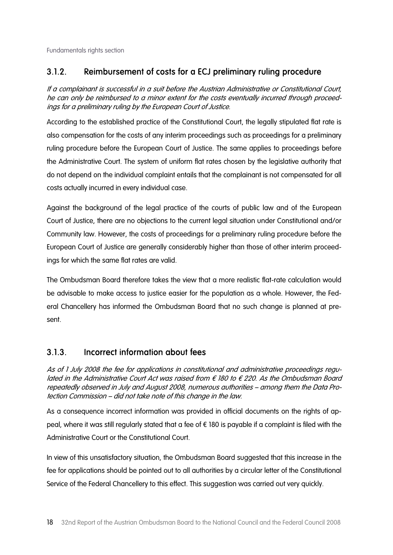### 3.1.2. Reimbursement of costs for a ECJ preliminary ruling procedure

If a complainant is successful in a suit before the Austrian Administrative or Constitutional Court, he can only be reimbursed to a minor extent for the costs eventually incurred through proceedings for a preliminary ruling by the European Court of Justice.

According to the established practice of the Constitutional Court, the legally stipulated flat rate is also compensation for the costs of any interim proceedings such as proceedings for a preliminary ruling procedure before the European Court of Justice. The same applies to proceedings before the Administrative Court. The system of uniform flat rates chosen by the legislative authority that do not depend on the individual complaint entails that the complainant is not compensated for all costs actually incurred in every individual case.

Against the background of the legal practice of the courts of public law and of the European Court of Justice, there are no objections to the current legal situation under Constitutional and/or Community law. However, the costs of proceedings for a preliminary ruling procedure before the European Court of Justice are generally considerably higher than those of other interim proceedings for which the same flat rates are valid.

The Ombudsman Board therefore takes the view that a more realistic flat-rate calculation would be advisable to make access to justice easier for the population as a whole. However, the Federal Chancellery has informed the Ombudsman Board that no such change is planned at present.

### 3.1.3. Incorrect information about fees

As of 1 July 2008 the fee for applications in constitutional and administrative proceedings regulated in the Administrative Court Act was raised from € 180 to  $€$  220. As the Ombudsman Board repeatedly observed in July and August 2008, numerous authorities – among them the Data Protection Commission – did not take note of this change in the law.

As a consequence incorrect information was provided in official documents on the rights of appeal, where it was still regularly stated that a fee of  $\epsilon$  180 is payable if a complaint is filed with the Administrative Court or the Constitutional Court.

In view of this unsatisfactory situation, the Ombudsman Board suggested that this increase in the fee for applications should be pointed out to all authorities by a circular letter of the Constitutional Service of the Federal Chancellery to this effect. This suggestion was carried out very quickly.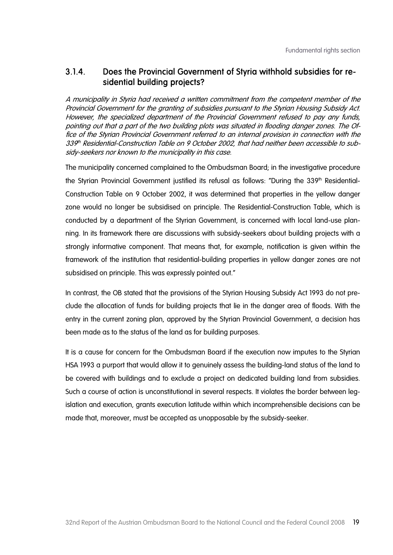#### 3.1.4. Does the Provincial Government of Styria withhold subsidies for residential building projects?

A municipality in Styria had received a written commitment from the competent member of the Provincial Government for the granting of subsidies pursuant to the Styrian Housing Subsidy Act. However, the specialized department of the Provincial Government refused to pay any funds, pointing out that a part of the two building plots was situated in flooding danger zones. The Office of the Styrian Provincial Government referred to an internal provision in connection with the 339th Residential-Construction Table on 9 October 2002, that had neither been accessible to subsidy-seekers nor known to the municipality in this case.

The municipality concerned complained to the Ombudsman Board; in the investigative procedure the Styrian Provincial Government justified its refusal as follows: "During the 339<sup>th</sup> Residential-Construction Table on 9 October 2002, it was determined that properties in the yellow danger zone would no longer be subsidised on principle. The Residential-Construction Table, which is conducted by a department of the Styrian Government, is concerned with local land-use planning. In its framework there are discussions with subsidy-seekers about building projects with a strongly informative component. That means that, for example, notification is given within the framework of the institution that residential-building properties in yellow danger zones are not subsidised on principle. This was expressly pointed out."

In contrast, the OB stated that the provisions of the Styrian Housing Subsidy Act 1993 do not preclude the allocation of funds for building projects that lie in the danger area of floods. With the entry in the current zoning plan, approved by the Styrian Provincial Government, a decision has been made as to the status of the land as for building purposes.

It is a cause for concern for the Ombudsman Board if the execution now imputes to the Styrian HSA 1993 a purport that would allow it to genuinely assess the building-land status of the land to be covered with buildings and to exclude a project on dedicated building land from subsidies. Such a course of action is unconstitutional in several respects. It violates the border between legislation and execution, grants execution latitude within which incomprehensible decisions can be made that, moreover, must be accepted as unopposable by the subsidy-seeker.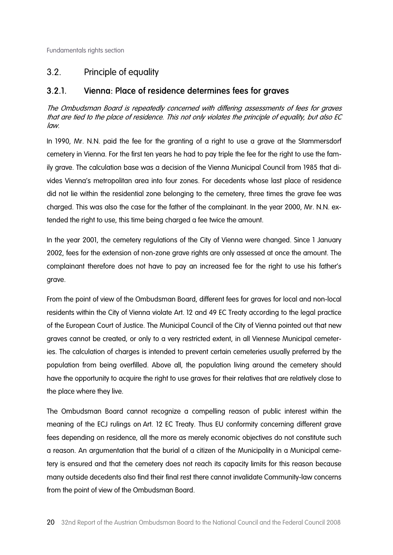## 3.2. Principle of equality

### 3.2.1. Vienna: Place of residence determines fees for graves

The Ombudsman Board is repeatedly concerned with differing assessments of fees for graves that are tied to the place of residence. This not only violates the principle of equality, but also EC law.

In 1990, Mr. N.N. paid the fee for the granting of a right to use a grave at the Stammersdorf cemetery in Vienna. For the first ten years he had to pay triple the fee for the right to use the family grave. The calculation base was a decision of the Vienna Municipal Council from 1985 that divides Vienna's metropolitan area into four zones. For decedents whose last place of residence did not lie within the residential zone belonging to the cemetery, three times the grave fee was charged. This was also the case for the father of the complainant. In the year 2000, Mr. N.N. extended the right to use, this time being charged a fee twice the amount.

In the year 2001, the cemetery regulations of the City of Vienna were changed. Since 1 January 2002, fees for the extension of non-zone grave rights are only assessed at once the amount. The complainant therefore does not have to pay an increased fee for the right to use his father's grave.

From the point of view of the Ombudsman Board, different fees for graves for local and non-local residents within the City of Vienna violate Art. 12 and 49 EC Treaty according to the legal practice of the European Court of Justice. The Municipal Council of the City of Vienna pointed out that new graves cannot be created, or only to a very restricted extent, in all Viennese Municipal cemeteries. The calculation of charges is intended to prevent certain cemeteries usually preferred by the population from being overfilled. Above all, the population living around the cemetery should have the opportunity to acquire the right to use graves for their relatives that are relatively close to the place where they live.

The Ombudsman Board cannot recognize a compelling reason of public interest within the meaning of the ECJ rulings on Art. 12 EC Treaty. Thus EU conformity concerning different grave fees depending on residence, all the more as merely economic objectives do not constitute such a reason. An argumentation that the burial of a citizen of the Municipality in a Municipal cemetery is ensured and that the cemetery does not reach its capacity limits for this reason because many outside decedents also find their final rest there cannot invalidate Community-law concerns from the point of view of the Ombudsman Board.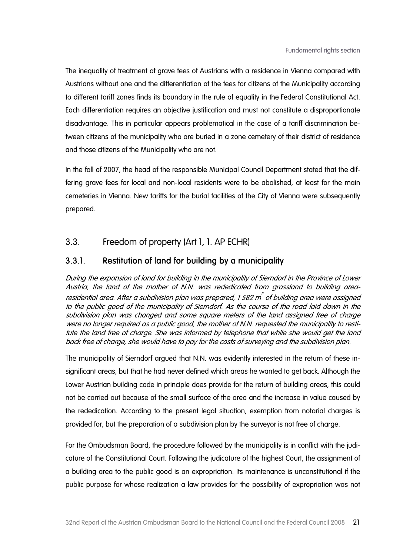The inequality of treatment of grave fees of Austrians with a residence in Vienna compared with Austrians without one and the differentiation of the fees for citizens of the Municipality according to different tariff zones finds its boundary in the rule of equality in the Federal Constitutional Act. Each differentiation requires an objective justification and must not constitute a disproportionate disadvantage. This in particular appears problematical in the case of a tariff discrimination between citizens of the municipality who are buried in a zone cemetery of their district of residence and those citizens of the Municipality who are not.

In the fall of 2007, the head of the responsible Municipal Council Department stated that the differing grave fees for local and non-local residents were to be abolished, at least for the main cemeteries in Vienna. New tariffs for the burial facilities of the City of Vienna were subsequently prepared.

### 3.3. Freedom of property (Art 1, 1. AP ECHR)

#### 3.3.1. Restitution of land for building by a municipality

During the expansion of land for building in the municipality of Sierndorf in the Province of Lower Austria, the land of the mother of N.N. was rededicated from grassland to building arearesidential area. After a subdivision plan was prepared, 1 582 m $^{2}$  of building area were assigned to the public good of the municipality of Sierndorf. As the course of the road laid down in the subdivision plan was changed and some square meters of the land assigned free of charge were no longer required as a public good, the mother of N.N. requested the municipality to restitute the land free of charge. She was informed by telephone that while she would get the land back free of charge, she would have to pay for the costs of surveying and the subdivision plan.

The municipality of Sierndorf argued that N.N. was evidently interested in the return of these insignificant areas, but that he had never defined which areas he wanted to get back. Although the Lower Austrian building code in principle does provide for the return of building areas, this could not be carried out because of the small surface of the area and the increase in value caused by the rededication. According to the present legal situation, exemption from notarial charges is provided for, but the preparation of a subdivision plan by the surveyor is not free of charge.

For the Ombudsman Board, the procedure followed by the municipality is in conflict with the judicature of the Constitutional Court. Following the judicature of the highest Court, the assignment of a building area to the public good is an expropriation. Its maintenance is unconstitutional if the public purpose for whose realization a law provides for the possibility of expropriation was not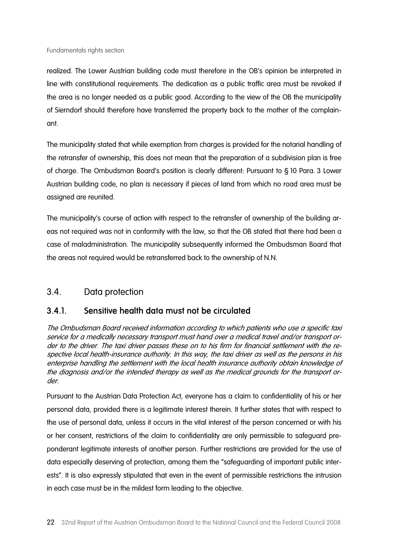realized. The Lower Austrian building code must therefore in the OB's opinion be interpreted in line with constitutional requirements. The dedication as a public traffic area must be revoked if the area is no longer needed as a public good. According to the view of the OB the municipality of Sierndorf should therefore have transferred the property back to the mother of the complainant.

The municipality stated that while exemption from charges is provided for the notarial handling of the retransfer of ownership, this does not mean that the preparation of a subdivision plan is free of charge. The Ombudsman Board's position is clearly different: Pursuant to § 10 Para. 3 Lower Austrian building code, no plan is necessary if pieces of land from which no road area must be assigned are reunited.

The municipality's course of action with respect to the retransfer of ownership of the building areas not required was not in conformity with the law, so that the OB stated that there had been a case of maladministration. The municipality subsequently informed the Ombudsman Board that the areas not required would be retransferred back to the ownership of N.N.

### 3.4. Data protection

#### 3.4.1. Sensitive health data must not be circulated

The Ombudsman Board received information according to which patients who use a specific taxi service for a medically necessary transport must hand over a medical travel and/or transport order to the driver. The taxi driver passes these on to his firm for financial settlement with the respective local health-insurance authority. In this way, the taxi driver as well as the persons in his enterprise handling the settlement with the local health insurance authority obtain knowledge of the diagnosis and/or the intended therapy as well as the medical grounds for the transport order.

Pursuant to the Austrian Data Protection Act, everyone has a claim to confidentiality of his or her personal data, provided there is a legitimate interest therein. It further states that with respect to the use of personal data, unless it occurs in the vital interest of the person concerned or with his or her consent, restrictions of the claim to confidentiality are only permissible to safeguard preponderant legitimate interests of another person. Further restrictions are provided for the use of data especially deserving of protection, among them the "safeguarding of important public interests". It is also expressly stipulated that even in the event of permissible restrictions the intrusion in each case must be in the mildest form leading to the objective.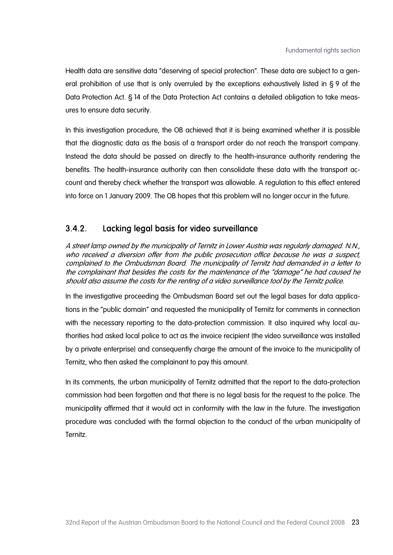Health data are sensitive data "deserving of special protection". These data are subject to a general prohibition of use that is only overruled by the exceptions exhaustively listed in § 9 of the Data Protection Act. § 14 of the Data Protection Act contains a detailed obligation to take measures to ensure data security.

In this investigation procedure, the OB achieved that it is being examined whether it is possible that the diagnostic data as the basis of a transport order do not reach the transport company. Instead the data should be passed on directly to the health-insurance authority rendering the benefits. The health-insurance authority can then consolidate these data with the transport account and thereby check whether the transport was allowable. A regulation to this effect entered into force on 1 January 2009. The OB hopes that this problem will no longer occur in the future.

### 3.4.2. Lacking legal basis for video surveillance

A street lamp owned by the municipality of Ternitz in Lower Austria was regularly damaged. N.N., who received a diversion offer from the public prosecution office because he was a suspect, complained to the Ombudsman Board. The municipality of Ternitz had demanded in a letter to the complainant that besides the costs for the maintenance of the "damage" he had caused he should also assume the costs for the renting of a video surveillance tool by the Ternitz police.

In the investigative proceeding the Ombudsman Board set out the legal bases for data applications in the "public domain" and requested the municipality of Ternitz for comments in connection with the necessary reporting to the data-protection commission. It also inquired why local authorities had asked local police to act as the invoice recipient (the video surveillance was installed by a private enterprise) and consequently charge the amount of the invoice to the municipality of Ternitz, who then asked the complainant to pay this amount.

In its comments, the urban municipality of Ternitz admitted that the report to the data-protection commission had been forgotten and that there is no legal basis for the request to the police. The municipality affirmed that it would act in conformity with the law in the future. The investigation procedure was concluded with the formal objection to the conduct of the urban municipality of Ternitz.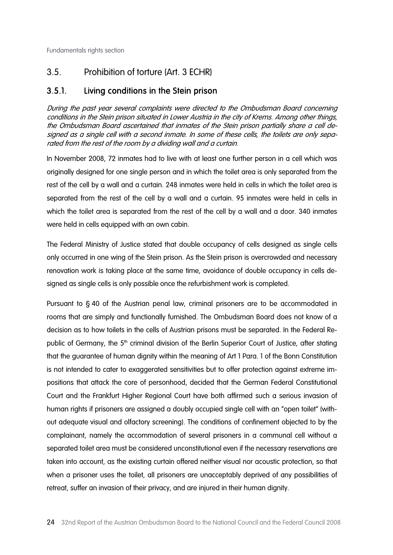## 3.5. Prohibition of torture (Art. 3 ECHR)

#### 3.5.1. Living conditions in the Stein prison

During the past year several complaints were directed to the Ombudsman Board concerning conditions in the Stein prison situated in Lower Austria in the city of Krems. Among other things, the Ombudsman Board ascertained that inmates of the Stein prison partially share a cell designed as a single cell with a second inmate. In some of these cells, the toilets are only separated from the rest of the room by a dividing wall and a curtain.

In November 2008, 72 inmates had to live with at least one further person in a cell which was originally designed for one single person and in which the toilet area is only separated from the rest of the cell by a wall and a curtain. 248 inmates were held in cells in which the toilet area is separated from the rest of the cell by a wall and a curtain. 95 inmates were held in cells in which the toilet area is separated from the rest of the cell by a wall and a door. 340 inmates were held in cells equipped with an own cabin.

The Federal Ministry of Justice stated that double occupancy of cells designed as single cells only occurred in one wing of the Stein prison. As the Stein prison is overcrowded and necessary renovation work is taking place at the same time, avoidance of double occupancy in cells designed as single cells is only possible once the refurbishment work is completed.

Pursuant to § 40 of the Austrian penal law, criminal prisoners are to be accommodated in rooms that are simply and functionally furnished. The Ombudsman Board does not know of a decision as to how toilets in the cells of Austrian prisons must be separated. In the Federal Republic of Germany, the 5<sup>th</sup> criminal division of the Berlin Superior Court of Justice, after stating that the guarantee of human dignity within the meaning of Art 1 Para. 1 of the Bonn Constitution is not intended to cater to exaggerated sensitivities but to offer protection against extreme impositions that attack the core of personhood, decided that the German Federal Constitutional Court and the Frankfurt Higher Regional Court have both affirmed such a serious invasion of human rights if prisoners are assigned a doubly occupied single cell with an "open toilet" (without adequate visual and olfactory screening). The conditions of confinement objected to by the complainant, namely the accommodation of several prisoners in a communal cell without a separated toilet area must be considered unconstitutional even if the necessary reservations are taken into account, as the existing curtain offered neither visual nor acoustic protection, so that when a prisoner uses the toilet, all prisoners are unacceptably deprived of any possibilities of retreat, suffer an invasion of their privacy, and are injured in their human dignity.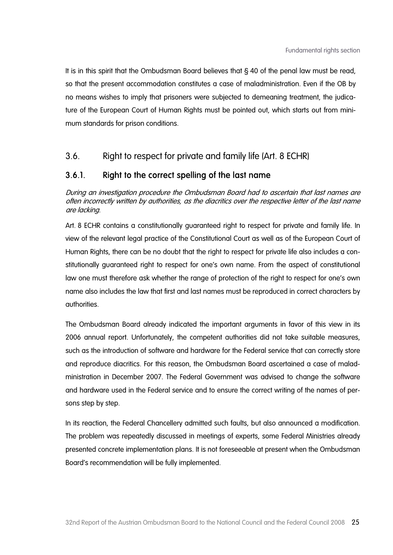It is in this spirit that the Ombudsman Board believes that § 40 of the penal law must be read, so that the present accommodation constitutes a case of maladministration. Even if the OB by no means wishes to imply that prisoners were subjected to demeaning treatment, the judicature of the European Court of Human Rights must be pointed out, which starts out from minimum standards for prison conditions.

### 3.6. Right to respect for private and family life (Art. 8 ECHR)

#### 3.6.1. Right to the correct spelling of the last name

During an investigation procedure the Ombudsman Board had to ascertain that last names are often incorrectly written by authorities, as the diacritics over the respective letter of the last name are lacking.

Art. 8 ECHR contains a constitutionally guaranteed right to respect for private and family life. In view of the relevant legal practice of the Constitutional Court as well as of the European Court of Human Rights, there can be no doubt that the right to respect for private life also includes a constitutionally guaranteed right to respect for one's own name. From the aspect of constitutional law one must therefore ask whether the range of protection of the right to respect for one's own name also includes the law that first and last names must be reproduced in correct characters by authorities.

The Ombudsman Board already indicated the important arguments in favor of this view in its 2006 annual report. Unfortunately, the competent authorities did not take suitable measures, such as the introduction of software and hardware for the Federal service that can correctly store and reproduce diacritics. For this reason, the Ombudsman Board ascertained a case of maladministration in December 2007. The Federal Government was advised to change the software and hardware used in the Federal service and to ensure the correct writing of the names of persons step by step.

In its reaction, the Federal Chancellery admitted such faults, but also announced a modification. The problem was repeatedly discussed in meetings of experts, some Federal Ministries already presented concrete implementation plans. It is not foreseeable at present when the Ombudsman Board's recommendation will be fully implemented.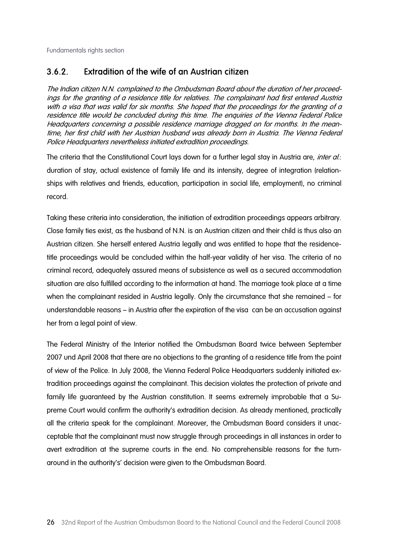#### 3.6.2. Extradition of the wife of an Austrian citizen

The Indian citizen N.N. complained to the Ombudsman Board about the duration of her proceedings for the granting of a residence title for relatives. The complainant had first entered Austria with a visa that was valid for six months. She hoped that the proceedings for the granting of a residence title would be concluded during this time. The enquiries of the Vienna Federal Police Headquarters concerning a possible residence marriage dragged on for months. In the meantime, her first child with her Austrian husband was already born in Austria. The Vienna Federal Police Headquarters nevertheless initiated extradition proceedings.

The criteria that the Constitutional Court lays down for a further legal stay in Austria are, *inter al.*: duration of stay, actual existence of family life and its intensity, degree of integration (relationships with relatives and friends, education, participation in social life, employment), no criminal record.

Taking these criteria into consideration, the initiation of extradition proceedings appears arbitrary. Close family ties exist, as the husband of N.N. is an Austrian citizen and their child is thus also an Austrian citizen. She herself entered Austria legally and was entitled to hope that the residencetitle proceedings would be concluded within the half-year validity of her visa. The criteria of no criminal record, adequately assured means of subsistence as well as a secured accommodation situation are also fulfilled according to the information at hand. The marriage took place at a time when the complainant resided in Austria legally. Only the circumstance that she remained – for understandable reasons – in Austria after the expiration of the visa can be an accusation against her from a legal point of view.

The Federal Ministry of the Interior notified the Ombudsman Board twice between September 2007 und April 2008 that there are no objections to the granting of a residence title from the point of view of the Police. In July 2008, the Vienna Federal Police Headquarters suddenly initiated extradition proceedings against the complainant. This decision violates the protection of private and family life guaranteed by the Austrian constitution. It seems extremely improbable that a Supreme Court would confirm the authority's extradition decision. As already mentioned, practically all the criteria speak for the complainant. Moreover, the Ombudsman Board considers it unacceptable that the complainant must now struggle through proceedings in all instances in order to avert extradition at the supreme courts in the end. No comprehensible reasons for the turnaround in the authority's' decision were given to the Ombudsman Board.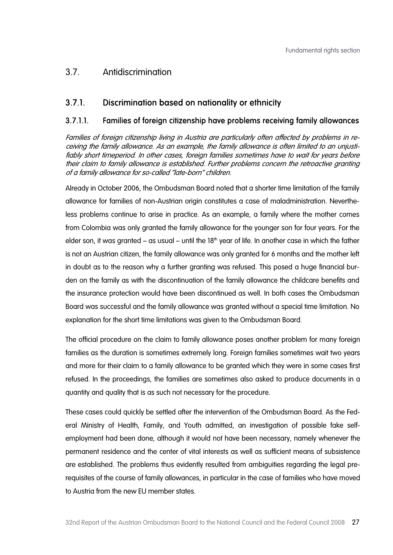### 3.7. Antidiscrimination

### 3.7.1. Discrimination based on nationality or ethnicity

#### 3.7.1.1. Families of foreign citizenship have problems receiving family allowances

Families of foreign citizenship living in Austria are particularly often affected by problems in receiving the family allowance. As an example, the family allowance is often limited to an unjustifiably short timeperiod. In other cases, foreign families sometimes have to wait for years before their claim to family allowance is established. Further problems concern the retroactive granting of a family allowance for so-called "late-born" children.

Already in October 2006, the Ombudsman Board noted that a shorter time limitation of the family allowance for families of non-Austrian origin constitutes a case of maladministration. Nevertheless problems continue to arise in practice. As an example, a family where the mother comes from Colombia was only granted the family allowance for the younger son for four years. For the elder son, it was granted – as usual – until the  $18<sup>th</sup>$  year of life. In another case in which the father is not an Austrian citizen, the family allowance was only granted for 6 months and the mother left in doubt as to the reason why a further granting was refused. This posed a huge financial burden on the family as with the discontinuation of the family allowance the childcare benefits and the insurance protection would have been discontinued as well. In both cases the Ombudsman Board was successful and the family allowance was granted without a special time limitation. No explanation for the short time limitations was given to the Ombudsman Board.

The official procedure on the claim to family allowance poses another problem for many foreign families as the duration is sometimes extremely long. Foreign families sometimes wait two years and more for their claim to a family allowance to be granted which they were in some cases first refused. In the proceedings, the families are sometimes also asked to produce documents in a quantity and quality that is as such not necessary for the procedure.

These cases could quickly be settled after the intervention of the Ombudsman Board. As the Federal Ministry of Health, Family, and Youth admitted, an investigation of possible fake selfemployment had been done, although it would not have been necessary, namely whenever the permanent residence and the center of vital interests as well as sufficient means of subsistence are established. The problems thus evidently resulted from ambiguities regarding the legal prerequisites of the course of family allowances, in particular in the case of families who have moved to Austria from the new EU member states.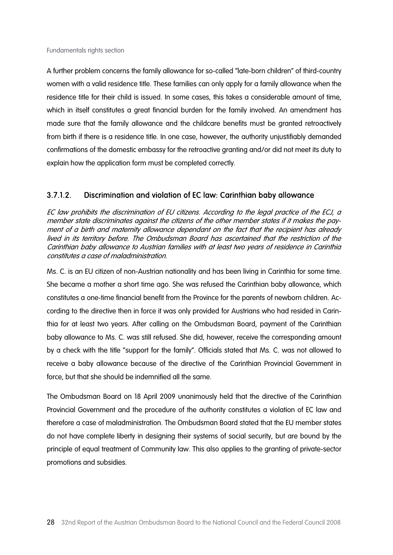A further problem concerns the family allowance for so-called "late-born children" of third-country women with a valid residence title. These families can only apply for a family allowance when the residence title for their child is issued. In some cases, this takes a considerable amount of time, which in itself constitutes a great financial burden for the family involved. An amendment has made sure that the family allowance and the childcare benefits must be granted retroactively from birth if there is a residence title. In one case, however, the authority unjustifiably demanded confirmations of the domestic embassy for the retroactive granting and/or did not meet its duty to explain how the application form must be completed correctly.

#### 3.7.1.2. Discrimination and violation of EC law: Carinthian baby allowance

EC law prohibits the discrimination of EU citizens. According to the legal practice of the ECJ, a member state discriminates against the citizens of the other member states if it makes the payment of a birth and maternity allowance dependant on the fact that the recipient has already lived in its territory before. The Ombudsman Board has ascertained that the restriction of the Carinthian baby allowance to Austrian families with at least two years of residence in Carinthia constitutes a case of maladministration.

Ms. C. is an EU citizen of non-Austrian nationality and has been living in Carinthia for some time. She became a mother a short time ago. She was refused the Carinthian baby allowance, which constitutes a one-time financial benefit from the Province for the parents of newborn children. According to the directive then in force it was only provided for Austrians who had resided in Carinthia for at least two years. After calling on the Ombudsman Board, payment of the Carinthian baby allowance to Ms. C. was still refused. She did, however, receive the corresponding amount by a check with the title "support for the family". Officials stated that Ms. C. was not allowed to receive a baby allowance because of the directive of the Carinthian Provincial Government in force, but that she should be indemnified all the same.

The Ombudsman Board on 18 April 2009 unanimously held that the directive of the Carinthian Provincial Government and the procedure of the authority constitutes a violation of EC law and therefore a case of maladministration. The Ombudsman Board stated that the EU member states do not have complete liberty in designing their systems of social security, but are bound by the principle of equal treatment of Community law. This also applies to the granting of private-sector promotions and subsidies.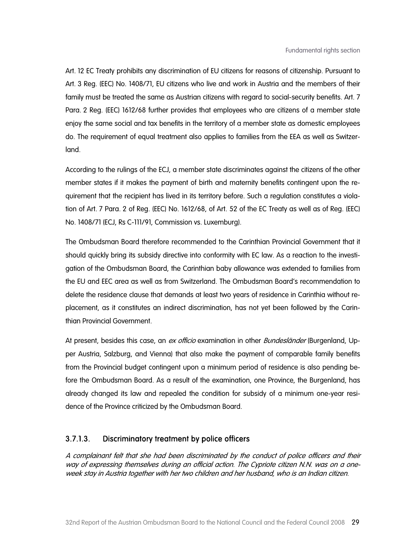Art. 12 EC Treaty prohibits any discrimination of EU citizens for reasons of citizenship. Pursuant to Art. 3 Reg. (EEC) No. 1408/71, EU citizens who live and work in Austria and the members of their family must be treated the same as Austrian citizens with regard to social-security benefits. Art. 7 Para. 2 Reg. (EEC) 1612/68 further provides that employees who are citizens of a member state enjoy the same social and tax benefits in the territory of a member state as domestic employees do. The requirement of equal treatment also applies to families from the EEA as well as Switzerland.

According to the rulings of the ECJ, a member state discriminates against the citizens of the other member states if it makes the payment of birth and maternity benefits contingent upon the requirement that the recipient has lived in its territory before. Such a regulation constitutes a violation of Art. 7 Para. 2 of Reg. (EEC) No. 1612/68, of Art. 52 of the EC Treaty as well as of Reg. (EEC) No. 1408/71 (ECJ, Rs C-111/91, Commission vs. Luxemburg).

The Ombudsman Board therefore recommended to the Carinthian Provincial Government that it should quickly bring its subsidy directive into conformity with EC law. As a reaction to the investigation of the Ombudsman Board, the Carinthian baby allowance was extended to families from the EU and EEC area as well as from Switzerland. The Ombudsman Board's recommendation to delete the residence clause that demands at least two years of residence in Carinthia without replacement, as it constitutes an indirect discrimination, has not yet been followed by the Carinthian Provincial Government.

At present, besides this case, an ex officio examination in other *Bundesländer* (Burgenland, Upper Austria, Salzburg, and Vienna) that also make the payment of comparable family benefits from the Provincial budget contingent upon a minimum period of residence is also pending before the Ombudsman Board. As a result of the examination, one Province, the Burgenland, has already changed its law and repealed the condition for subsidy of a minimum one-year residence of the Province criticized by the Ombudsman Board.

#### 3.7.1.3. Discriminatory treatment by police officers

A complainant felt that she had been discriminated by the conduct of police officers and their way of expressing themselves during an official action. The Cypriote citizen N.N. was on a oneweek stay in Austria together with her two children and her husband, who is an Indian citizen.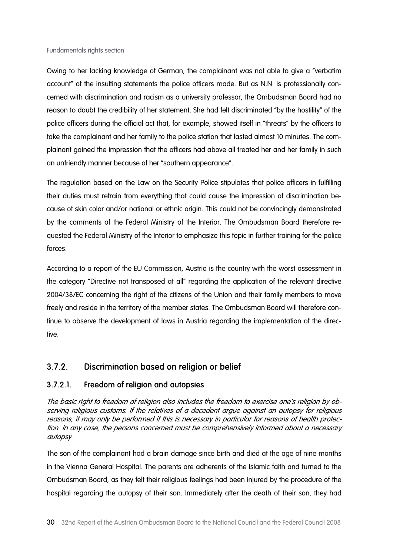Owing to her lacking knowledge of German, the complainant was not able to give a "verbatim" account" of the insulting statements the police officers made. But as N.N. is professionally concerned with discrimination and racism as a university professor, the Ombudsman Board had no reason to doubt the credibility of her statement. She had felt discriminated "by the hostility" of the police officers during the official act that, for example, showed itself in "threats" by the officers to take the complainant and her family to the police station that lasted almost 10 minutes. The complainant gained the impression that the officers had above all treated her and her family in such an unfriendly manner because of her "southern appearance".

The regulation based on the Law on the Security Police stipulates that police officers in fulfilling their duties must refrain from everything that could cause the impression of discrimination because of skin color and/or national or ethnic origin. This could not be convincingly demonstrated by the comments of the Federal Ministry of the Interior. The Ombudsman Board therefore requested the Federal Ministry of the Interior to emphasize this topic in further training for the police forces.

According to a report of the EU Commission, Austria is the country with the worst assessment in the category "Directive not transposed at all" regarding the application of the relevant directive 2004/38/EC concerning the right of the citizens of the Union and their family members to move freely and reside in the territory of the member states. The Ombudsman Board will therefore continue to observe the development of laws in Austria regarding the implementation of the directive.

### 3.7.2. Discrimination based on religion or belief

#### 3.7.2.1. Freedom of religion and autopsies

The basic right to freedom of religion also includes the freedom to exercise one's religion by observing religious customs. If the relatives of a decedent argue against an autopsy for religious reasons, it may only be performed if this is necessary in particular for reasons of health protection. In any case, the persons concerned must be comprehensively informed about a necessary autopsy.

The son of the complainant had a brain damage since birth and died at the age of nine months in the Vienna General Hospital. The parents are adherents of the Islamic faith and turned to the Ombudsman Board, as they felt their religious feelings had been injured by the procedure of the hospital regarding the autopsy of their son. Immediately after the death of their son, they had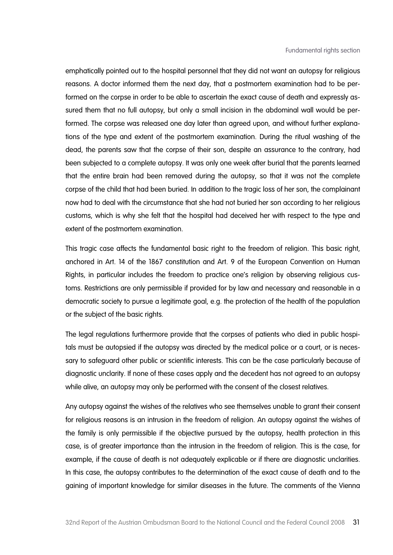emphatically pointed out to the hospital personnel that they did not want an autopsy for religious reasons. A doctor informed them the next day, that a postmortem examination had to be performed on the corpse in order to be able to ascertain the exact cause of death and expressly assured them that no full autopsy, but only a small incision in the abdominal wall would be performed. The corpse was released one day later than agreed upon, and without further explanations of the type and extent of the postmortem examination. During the ritual washing of the dead, the parents saw that the corpse of their son, despite an assurance to the contrary, had been subjected to a complete autopsy. It was only one week after burial that the parents learned that the entire brain had been removed during the autopsy, so that it was not the complete corpse of the child that had been buried. In addition to the tragic loss of her son, the complainant now had to deal with the circumstance that she had not buried her son according to her religious customs, which is why she felt that the hospital had deceived her with respect to the type and extent of the postmortem examination.

This tragic case affects the fundamental basic right to the freedom of religion. This basic right, anchored in Art. 14 of the 1867 constitution and Art. 9 of the European Convention on Human Rights, in particular includes the freedom to practice one's religion by observing religious customs. Restrictions are only permissible if provided for by law and necessary and reasonable in a democratic society to pursue a legitimate goal, e.g. the protection of the health of the population or the subject of the basic rights.

The legal regulations furthermore provide that the corpses of patients who died in public hospitals must be autopsied if the autopsy was directed by the medical police or a court, or is necessary to safeguard other public or scientific interests. This can be the case particularly because of diagnostic unclarity. If none of these cases apply and the decedent has not agreed to an autopsy while alive, an autopsy may only be performed with the consent of the closest relatives.

Any autopsy against the wishes of the relatives who see themselves unable to grant their consent for religious reasons is an intrusion in the freedom of religion. An autopsy against the wishes of the family is only permissible if the objective pursued by the autopsy, health protection in this case, is of greater importance than the intrusion in the freedom of religion. This is the case, for example, if the cause of death is not adequately explicable or if there are diagnostic unclarities. In this case, the autopsy contributes to the determination of the exact cause of death and to the gaining of important knowledge for similar diseases in the future. The comments of the Vienna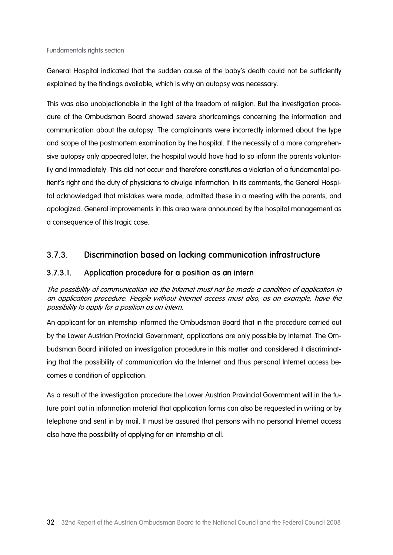General Hospital indicated that the sudden cause of the baby's death could not be sufficiently explained by the findings available, which is why an autopsy was necessary.

This was also unobjectionable in the light of the freedom of religion. But the investigation procedure of the Ombudsman Board showed severe shortcomings concerning the information and communication about the autopsy. The complainants were incorrectly informed about the type and scope of the postmortem examination by the hospital. If the necessity of a more comprehensive autopsy only appeared later, the hospital would have had to so inform the parents voluntarily and immediately. This did not occur and therefore constitutes a violation of a fundamental patient's right and the duty of physicians to divulge information. In its comments, the General Hospital acknowledged that mistakes were made, admitted these in a meeting with the parents, and apologized. General improvements in this area were announced by the hospital management as a consequence of this tragic case.

#### 3.7.3. Discrimination based on lacking communication infrastructure

#### 3.7.3.1. Application procedure for a position as an intern

The possibility of communication via the Internet must not be made a condition of application in an application procedure. People without Internet access must also, as an example, have the possibility to apply for a position as an intern.

An applicant for an internship informed the Ombudsman Board that in the procedure carried out by the Lower Austrian Provincial Government, applications are only possible by Internet. The Ombudsman Board initiated an investigation procedure in this matter and considered it discriminating that the possibility of communication via the Internet and thus personal Internet access becomes a condition of application.

As a result of the investigation procedure the Lower Austrian Provincial Government will in the future point out in information material that application forms can also be requested in writing or by telephone and sent in by mail. It must be assured that persons with no personal Internet access also have the possibility of applying for an internship at all.